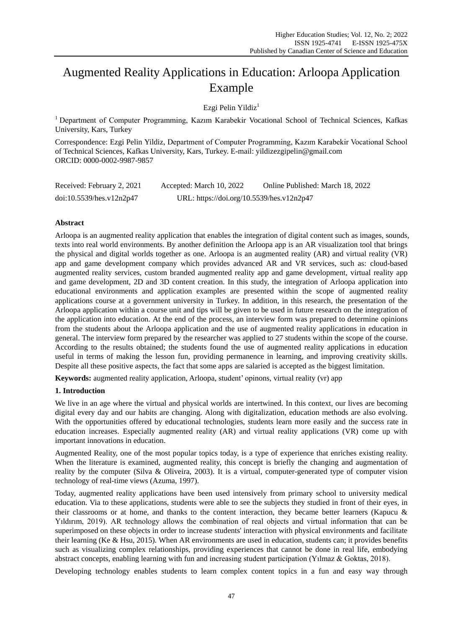# Augmented Reality Applications in Education: Arloopa Application Example

Ezgi Pelin Yildiz<sup>1</sup>

<sup>1</sup> Department of Computer Programming, Kazım Karabekir Vocational School of Technical Sciences, Kafkas University, Kars, Turkey

Correspondence: Ezgi Pelin Yildiz, Department of Computer Programming, Kazım Karabekir Vocational School of Technical Sciences, Kafkas University, Kars, Turkey. E-mail: yildizezgipelin@gmail.com ORCID: 0000-0002-9987-9857

| Received: February 2, 2021 | Accepted: March 10, 2022                  | Online Published: March 18, 2022 |
|----------------------------|-------------------------------------------|----------------------------------|
| doi:10.5539/hes.v12n2p47   | URL: https://doi.org/10.5539/hes.v12n2p47 |                                  |

# **Abstract**

Arloopa is an augmented reality application that enables the integration of digital content such as images, sounds, texts into real world environments. By another definition the Arloopa app is an AR visualization tool that brings the physical and digital worlds together as one. Arloopa is an augmented reality (AR) and virtual reality (VR) app and game development company which provides advanced AR and VR services, such as: cloud-based augmented reality services, custom branded augmented reality app and game development, virtual reality app and game development, 2D and 3D content creation. In this study, the integration of Arloopa application into educational environments and application examples are presented within the scope of augmented reality applications course at a government university in Turkey. In addition, in this research, the presentation of the Arloopa application within a course unit and tips will be given to be used in future research on the integration of the application into education. At the end of the process, an interview form was prepared to determine opinions from the students about the Arloopa application and the use of augmented reality applications in education in general. The interview form prepared by the researcher was applied to 27 students within the scope of the course. According to the results obtained; the students found the use of augmented reality applications in education useful in terms of making the lesson fun, providing permanence in learning, and improving creativity skills. Despite all these positive aspects, the fact that some apps are salaried is accepted as the biggest limitation.

**Keywords:** augmented reality application, Arloopa, student' opinons, virtual reality (vr) app

# **1. Introduction**

We live in an age where the virtual and physical worlds are intertwined. In this context, our lives are becoming digital every day and our habits are changing. Along with digitalization, education methods are also evolving. With the opportunities offered by educational technologies, students learn more easily and the success rate in education increases. Especially augmented reality (AR) and virtual reality applications (VR) come up with important innovations in education.

Augmented Reality, one of the most popular topics today, is a type of experience that enriches existing reality. When the literature is examined, augmented reality, this concept is briefly the changing and augmentation of reality by the computer (Silva & Oliveira, 2003). It is a virtual, computer-generated type of computer vision technology of real-time views (Azuma, 1997).

Today, augmented reality applications have been used intensively from primary school to university medical education. Via to these applications, students were able to see the subjects they studied in front of their eyes, in their classrooms or at home, and thanks to the content interaction, they became better learners (Kapucu & Yıldırım, 2019). AR technology allows the combination of real objects and virtual information that can be superimposed on these objects in order to increase students' interaction with physical environments and facilitate their learning (Ke & Hsu, 2015). When AR environments are used in education, students can; it provides benefits such as visualizing complex relationships, providing experiences that cannot be done in real life, embodying abstract concepts, enabling learning with fun and increasing student participation (Yılmaz & Goktas, 2018).

Developing technology enables students to learn complex content topics in a fun and easy way through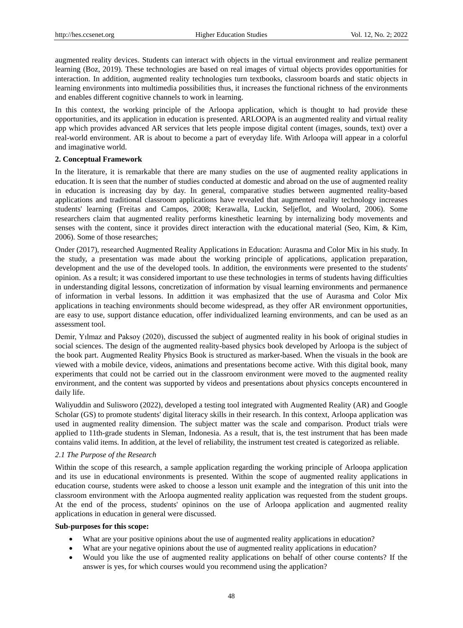augmented reality devices. Students can interact with objects in the virtual environment and realize permanent learning (Boz, 2019). These technologies are based on real images of virtual objects provides opportunities for interaction. In addition, augmented reality technologies turn textbooks, classroom boards and static objects in learning environments into multimedia possibilities thus, it increases the functional richness of the environments and enables different cognitive channels to work in learning.

In this context, the working principle of the Arloopa application, which is thought to had provide these opportunities, and its application in education is presented. ARLOOPA is an augmented reality and virtual reality app which provides advanced AR services that lets people impose digital content (images, sounds, text) over a real-world environment. AR is about to become a part of everyday life. With Arloopa will appear in a colorful and imaginative world.

#### **2. Conceptual Framework**

In the literature, it is remarkable that there are many studies on the use of augmented reality applications in education. It is seen that the number of studies conducted at domestic and abroad on the use of augmented reality in education is increasing day by day. In general, comparative studies between augmented reality-based applications and traditional classroom applications have revealed that augmented reality technology increases students' learning (Freitas and Campos, 2008; Kerawalla, Luckin, Seljeflot, and Woolard, 2006). Some researchers claim that augmented reality performs kinesthetic learning by internalizing body movements and senses with the content, since it provides direct interaction with the educational material (Seo, Kim, & Kim, 2006). Some of those researches;

Onder (2017), researched Augmented Reality Applications in Education: Aurasma and Color Mix in his study. In the study, a presentation was made about the working principle of applications, application preparation, development and the use of the developed tools. In addition, the environments were presented to the students' opinion. As a result; it was considered important to use these technologies in terms of students having difficulties in understanding digital lessons, concretization of information by visual learning environments and permanence of information in verbal lessons. In addittion it was emphasized that the use of Aurasma and Color Mix applications in teaching environments should become widespread, as they offer AR environment opportunities, are easy to use, support distance education, offer individualized learning environments, and can be used as an assessment tool.

Demir, Yılmaz and Paksoy (2020), discussed the subject of augmented reality in his book of original studies in social sciences. The design of the augmented reality-based physics book developed by Arloopa is the subject of the book part. Augmented Reality Physics Book is structured as marker-based. When the visuals in the book are viewed with a mobile device, videos, animations and presentations become active. With this digital book, many experiments that could not be carried out in the classroom environment were moved to the augmented reality environment, and the content was supported by videos and presentations about physics concepts encountered in daily life.

Waliyuddin and Sulisworo (2022), developed a testing tool integrated with Augmented Reality (AR) and Google Scholar (GS) to promote students' digital literacy skills in their research. In this context, Arloopa application was used in augmented reality dimension. The subject matter was the scale and comparison. Product trials were applied to 11th-grade students in Sleman, Indonesia. As a result, that is, the test instrument that has been made contains valid items. In addition, at the level of reliability, the instrument test created is categorized as reliable.

## *2.1 The Purpose of the Research*

Within the scope of this research, a sample application regarding the working principle of Arloopa application and its use in educational environments is presented. Within the scope of augmented reality applications in education course, students were asked to choose a lesson unit example and the integration of this unit into the classroom environment with the Arloopa augmented reality application was requested from the student groups. At the end of the process, students' opininos on the use of Arloopa application and augmented reality applications in education in general were discussed.

#### **Sub-purposes for this scope:**

- What are your positive opinions about the use of augmented reality applications in education?
- What are your negative opinions about the use of augmented reality applications in education?
- Would you like the use of augmented reality applications on behalf of other course contents? If the answer is yes, for which courses would you recommend using the application?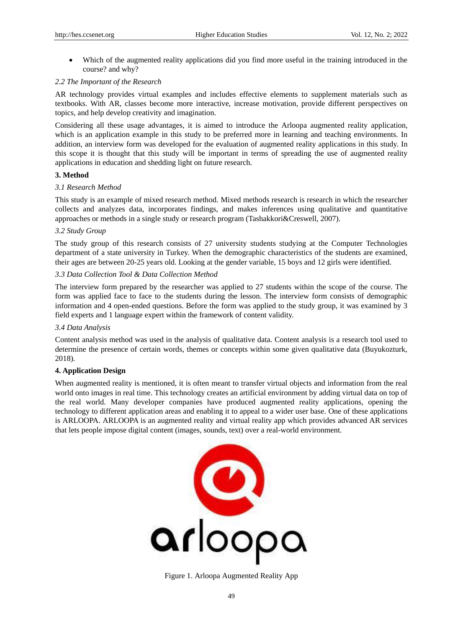Which of the augmented reality applications did you find more useful in the training introduced in the course? and why?

## *2.2 The Important of the Research*

AR technology provides virtual examples and includes effective elements to supplement materials such as textbooks. With AR, classes become more interactive, increase motivation, provide different perspectives on topics, and help develop creativity and imagination.

Considering all these usage advantages, it is aimed to introduce the Arloopa augmented reality application, which is an application example in this study to be preferred more in learning and teaching environments. In addition, an interview form was developed for the evaluation of augmented reality applications in this study. In this scope it is thought that this study will be important in terms of spreading the use of augmented reality applications in education and shedding light on future research.

# **3. Method**

# *3.1 Research Method*

This study is an example of mixed research method. Mixed methods research is research in which the researcher collects and analyzes data, incorporates findings, and makes inferences using qualitative and quantitative approaches or methods in a single study or research program (Tashakkori&Creswell, 2007).

# *3.2 Study Group*

The study group of this research consists of 27 university students studying at the Computer Technologies department of a state university in Turkey. When the demographic characteristics of the students are examined, their ages are between 20-25 years old. Looking at the gender variable, 15 boys and 12 girls were identified.

# *3.3 Data Collection Tool & Data Collection Method*

The interview form prepared by the researcher was applied to 27 students within the scope of the course. The form was applied face to face to the students during the lesson. The interview form consists of demographic information and 4 open-ended questions. Before the form was applied to the study group, it was examined by 3 field experts and 1 language expert within the framework of content validity.

## *3.4 Data Analysis*

Content analysis method was used in the analysis of qualitative data. Content analysis is a research tool used to determine the presence of certain words, themes or concepts within some given qualitative data (Buyukozturk, 2018).

# **4. Application Design**

When augmented reality is mentioned, it is often meant to transfer virtual objects and information from the real world onto images in real time. This technology creates an artificial environment by adding virtual data on top of the real world. Many developer companies have produced augmented reality applications, opening the technology to different application areas and enabling it to appeal to a wider user base. One of these applications is ARLOOPA. ARLOOPA is an augmented reality and virtual reality app which provides advanced AR services that lets people impose digital content (images, sounds, text) over a real-world environment.



Figure 1. Arloopa Augmented Reality App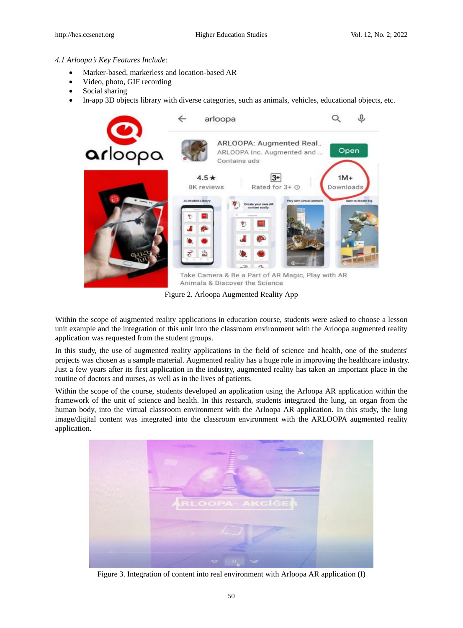#### *4.1 Arloopa's Key Features Include:*

- Marker-based, markerless and location-based AR
- Video, photo, GIF recording
- Social sharing
- In-app 3D objects library with diverse categories, such as animals, vehicles, educational objects, etc.



Figure 2. Arloopa Augmented Reality App

Within the scope of augmented reality applications in education course, students were asked to choose a lesson unit example and the integration of this unit into the classroom environment with the Arloopa augmented reality application was requested from the student groups.

In this study, the use of augmented reality applications in the field of science and health, one of the students' projects was chosen as a sample material. Augmented reality has a huge role in improving the healthcare industry. Just a few years after its first application in the industry, augmented reality has taken an important place in the routine of doctors and nurses, as well as in the lives of patients.

Within the scope of the course, students developed an application using the Arloopa AR application within the framework of the unit of science and health. In this research, students integrated the lung, an organ from the human body, into the virtual classroom environment with the Arloopa AR application. In this study, the lung image/digital content was integrated into the classroom environment with the ARLOOPA augmented reality application.



Figure 3. Integration of content into real environment with Arloopa AR application (I)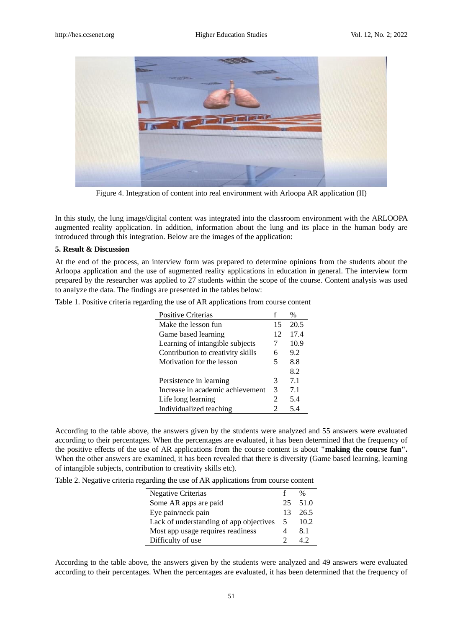

Figure 4. Integration of content into real environment with Arloopa AR application (II)

In this study, the lung image/digital content was integrated into the classroom environment with the ARLOOPA augmented reality application. In addition, information about the lung and its place in the human body are introduced through this integration. Below are the images of the application:

#### **5. Result & Discussion**

At the end of the process, an interview form was prepared to determine opinions from the students about the Arloopa application and the use of augmented reality applications in education in general. The interview form prepared by the researcher was applied to 27 students within the scope of the course. Content analysis was used to analyze the data. The findings are presented in the tables below:

|  | Table 1. Positive criteria regarding the use of AR applications from course content |  |  |  |  |
|--|-------------------------------------------------------------------------------------|--|--|--|--|
|  |                                                                                     |  |  |  |  |

| <b>Positive Criterias</b>         | f                           | $\%$ |
|-----------------------------------|-----------------------------|------|
| Make the lesson fun               | 15                          | 20.5 |
| Game based learning               | 12                          | 17.4 |
| Learning of intangible subjects   | 7                           | 10.9 |
| Contribution to creativity skills | 6                           | 9.2  |
| Motivation for the lesson         | 5                           | 8.8  |
|                                   |                             | 8.2  |
| Persistence in learning           | 3                           | 7.1  |
| Increase in academic achievement  | 3                           | 7.1  |
| Life long learning                | 2                           | 5.4  |
| Individualized teaching           | $\mathcal{D}_{\mathcal{L}}$ | 5.4  |
|                                   |                             |      |

According to the table above, the answers given by the students were analyzed and 55 answers were evaluated according to their percentages. When the percentages are evaluated, it has been determined that the frequency of the positive effects of the use of AR applications from the course content is about **"making the course fun".**  When the other answers are examined, it has been revealed that there is diversity (Game based learning, learning of intangible subjects, contribution to creativity skills etc).

Table 2. Negative criteria regarding the use of AR applications from course content

| Negative Criterias                      |    | %       |
|-----------------------------------------|----|---------|
| Some AR apps are paid                   |    | 25 51.0 |
| Eye pain/neck pain                      | 13 | - 26.5  |
| Lack of understanding of app objectives | 5  | 10.2    |
| Most app usage requires readiness       |    | 8.1     |
| Difficulty of use                       |    |         |

According to the table above, the answers given by the students were analyzed and 49 answers were evaluated according to their percentages. When the percentages are evaluated, it has been determined that the frequency of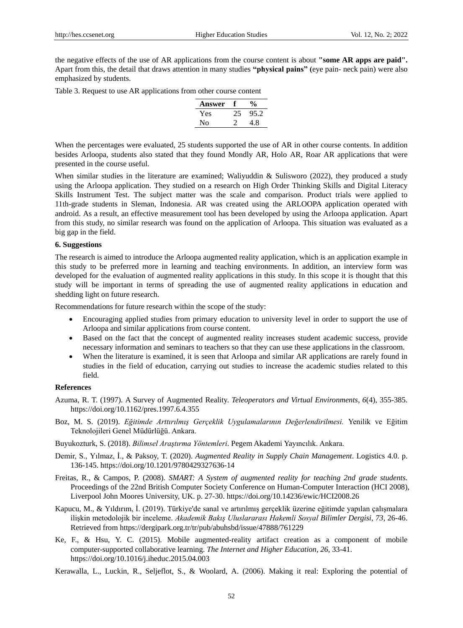the negative effects of the use of AR applications from the course content is about **"some AR apps are paid".** Apart from this, the detail that draws attention in many studies **"physical pains" (**eye pain- neck pain) were also emphasized by students.

Table 3. Request to use AR applications from other course content

| Answer | $\%$ |
|--------|------|
| Yes    | 95.2 |
| N٥     | 4.8  |

When the percentages were evaluated, 25 students supported the use of AR in other course contents. In addition besides Arloopa, students also stated that they found Mondly AR, Holo AR, Roar AR applications that were presented in the course useful.

When similar studies in the literature are examined; Waliyuddin & Sulisworo (2022), they produced a study using the Arloopa application. They studied on a research on High Order Thinking Skills and Digital Literacy Skills Instrument Test. The subject matter was the scale and comparison. Product trials were applied to 11th-grade students in Sleman, Indonesia. AR was created using the ARLOOPA application operated with android. As a result, an effective measurement tool has been developed by using the Arloopa application. Apart from this study, no similar research was found on the application of Arloopa. This situation was evaluated as a big gap in the field.

#### **6. Suggestions**

The research is aimed to introduce the Arloopa augmented reality application, which is an application example in this study to be preferred more in learning and teaching environments. In addition, an interview form was developed for the evaluation of augmented reality applications in this study. In this scope it is thought that this study will be important in terms of spreading the use of augmented reality applications in education and shedding light on future research.

Recommendations for future research within the scope of the study:

- Encouraging applied studies from primary education to university level in order to support the use of Arloopa and similar applications from course content.
- Based on the fact that the concept of augmented reality increases student academic success, provide necessary information and seminars to teachers so that they can use these applications in the classroom.
- When the literature is examined, it is seen that Arloopa and similar AR applications are rarely found in studies in the field of education, carrying out studies to increase the academic studies related to this field.

## **References**

- Azuma, R. T. (1997). A Survey of Augmented Reality. *Teleoperators and Virtual Environments, 6*(4), 355-385. https://doi.org/10.1162/pres.1997.6.4.355
- Boz, M. S. (2019). *Eğitimde Arttırılmış Gerçeklik Uygulamalarının Değerlendirilmesi.* Yenilik ve Eğitim Teknolojileri Genel Müdürlüğü. Ankara.

Buyukozturk, S. (2018). *Bilimsel Araştırma Yöntemleri*. Pegem Akademi Yayıncılık. Ankara.

- Demir, S., Yılmaz, İ., & Paksoy, T. (2020). *Augmented Reality in Supply Chain Management*. Logistics 4.0. p. 136-145. https://doi.org/10.1201/9780429327636-14
- Freitas, R., & Campos, P. (2008). *SMART: A System of augmented reality for teaching 2nd grade students.* Proceedings of the 22nd British Computer Society Conference on Human-Computer Interaction (HCI 2008), Liverpool John Moores University, UK. p. 27-30. https://doi.org/10.14236/ewic/HCI2008.26
- Kapucu, M., & Yıldırım, İ. (2019). Türkiye'de sanal ve artırılmış gerçeklik üzerine eğitimde yapılan çalışmalara ilişkin metodolojik bir inceleme. *Akademik Bakış Uluslararası Hakemli Sosyal Bilimler Dergisi, 73*, 26-46. Retrieved from https://dergipark.org.tr/tr/pub/abuhsbd/issue/47888/761229
- Ke, F., & Hsu, Y. C. (2015). Mobile augmented-reality artifact creation as a component of mobile computer-supported collaborative learning. *The Internet and Higher Education, 26*, 33-41. https://doi.org/10.1016/j.iheduc.2015.04.003

Kerawalla, L., Luckin, R., Seljeflot, S., & Woolard, A. (2006). Making it real: Exploring the potential of